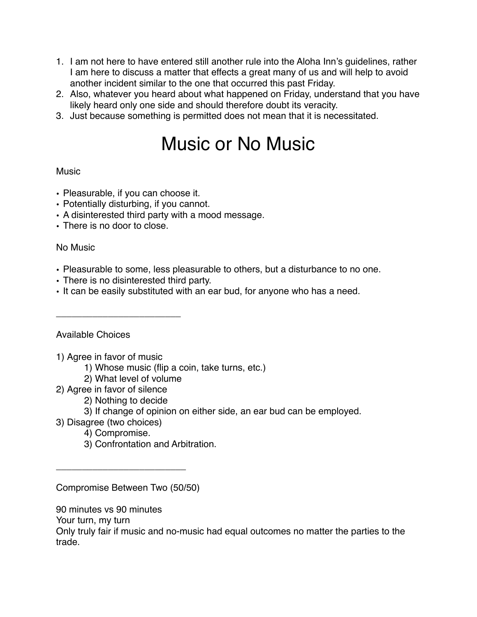- 1. I am not here to have entered still another rule into the Aloha Inn's guidelines, rather I am here to discuss a matter that effects a great many of us and will help to avoid another incident similar to the one that occurred this past Friday.
- 2. Also, whatever you heard about what happened on Friday, understand that you have likely heard only one side and should therefore doubt its veracity.
- 3. Just because something is permitted does not mean that it is necessitated.

## Music or No Music

## **Music**

- Pleasurable, if you can choose it.
- Potentially disturbing, if you cannot.
- A disinterested third party with a mood message.
- There is no door to close.

## No Music

- Pleasurable to some, less pleasurable to others, but a disturbance to no one.
- There is no disinterested third party.
- It can be easily substituted with an ear bud, for anyone who has a need.

## Available Choices

1) Agree in favor of music

\_\_\_\_\_\_\_\_\_\_\_\_\_\_\_\_\_\_\_\_\_\_\_\_

- 1) Whose music (flip a coin, take turns, etc.)
- 2) What level of volume
- 2) Agree in favor of silence
	- 2) Nothing to decide
	- 3) If change of opinion on either side, an ear bud can be employed.
- 3) Disagree (two choices)
	- 4) Compromise.
	- 3) Confrontation and Arbitration.

Compromise Between Two (50/50)

\_\_\_\_\_\_\_\_\_\_\_\_\_\_\_\_\_\_\_\_\_\_\_\_\_

90 minutes vs 90 minutes

Your turn, my turn

Only truly fair if music and no-music had equal outcomes no matter the parties to the trade.